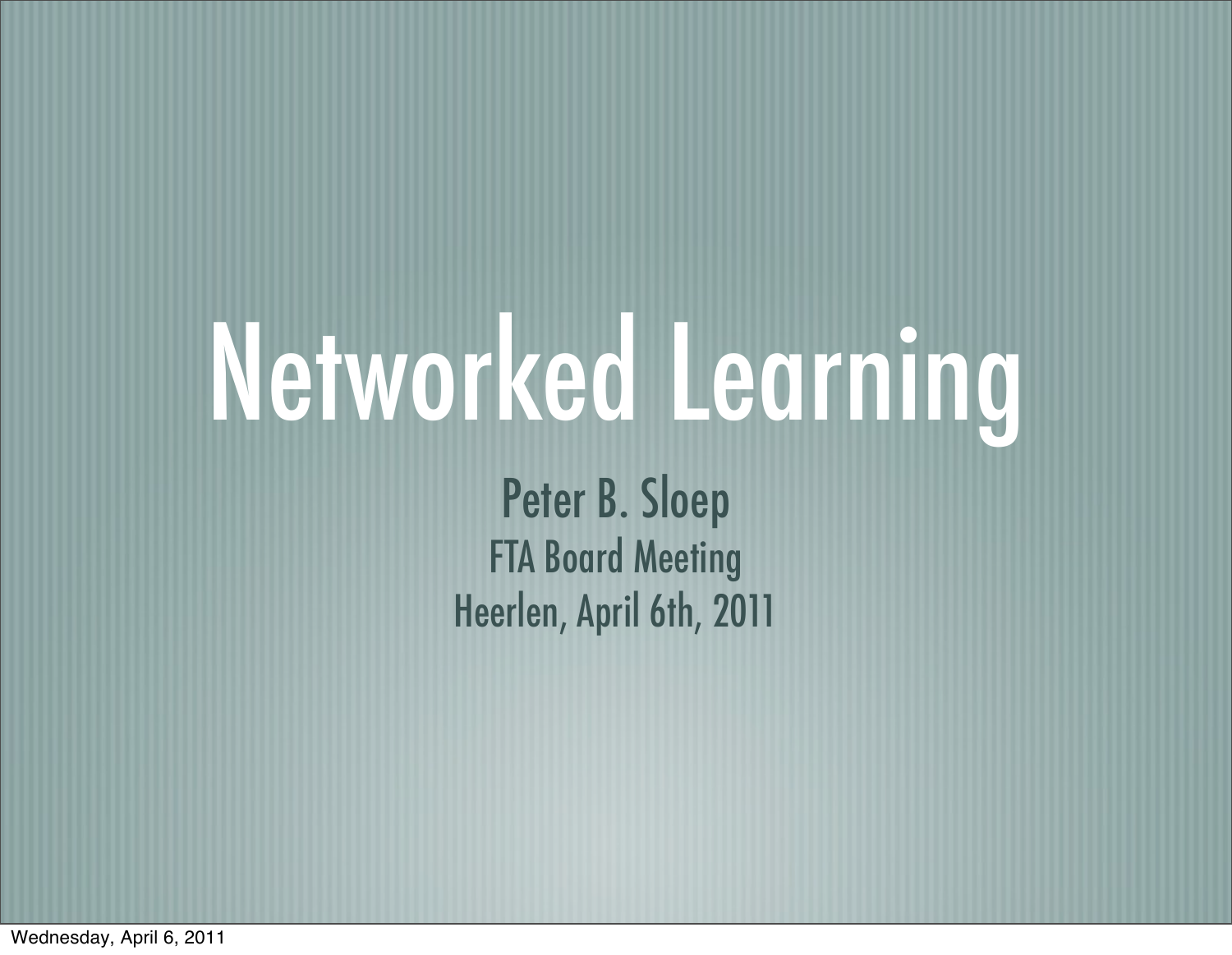## Networked Learning

Peter B. Sloep FTA Board Meeting Heerlen, April 6th, 2011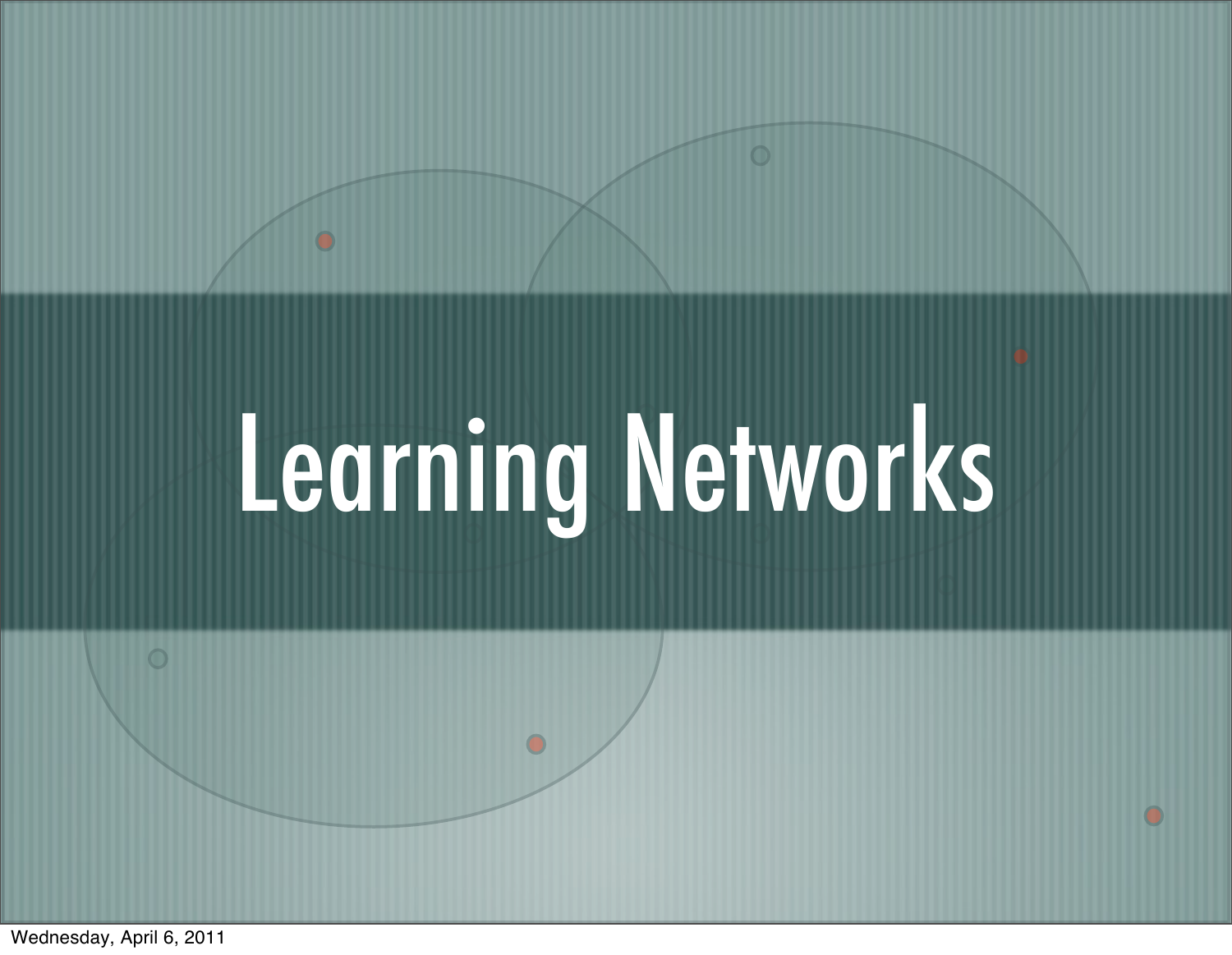# Learning Networks

 $\bullet$ 

 $\overline{\mathbf{O}}$ 

 $\bigcirc$ 

O

Wednesday, April 6, 2011

 $\circ$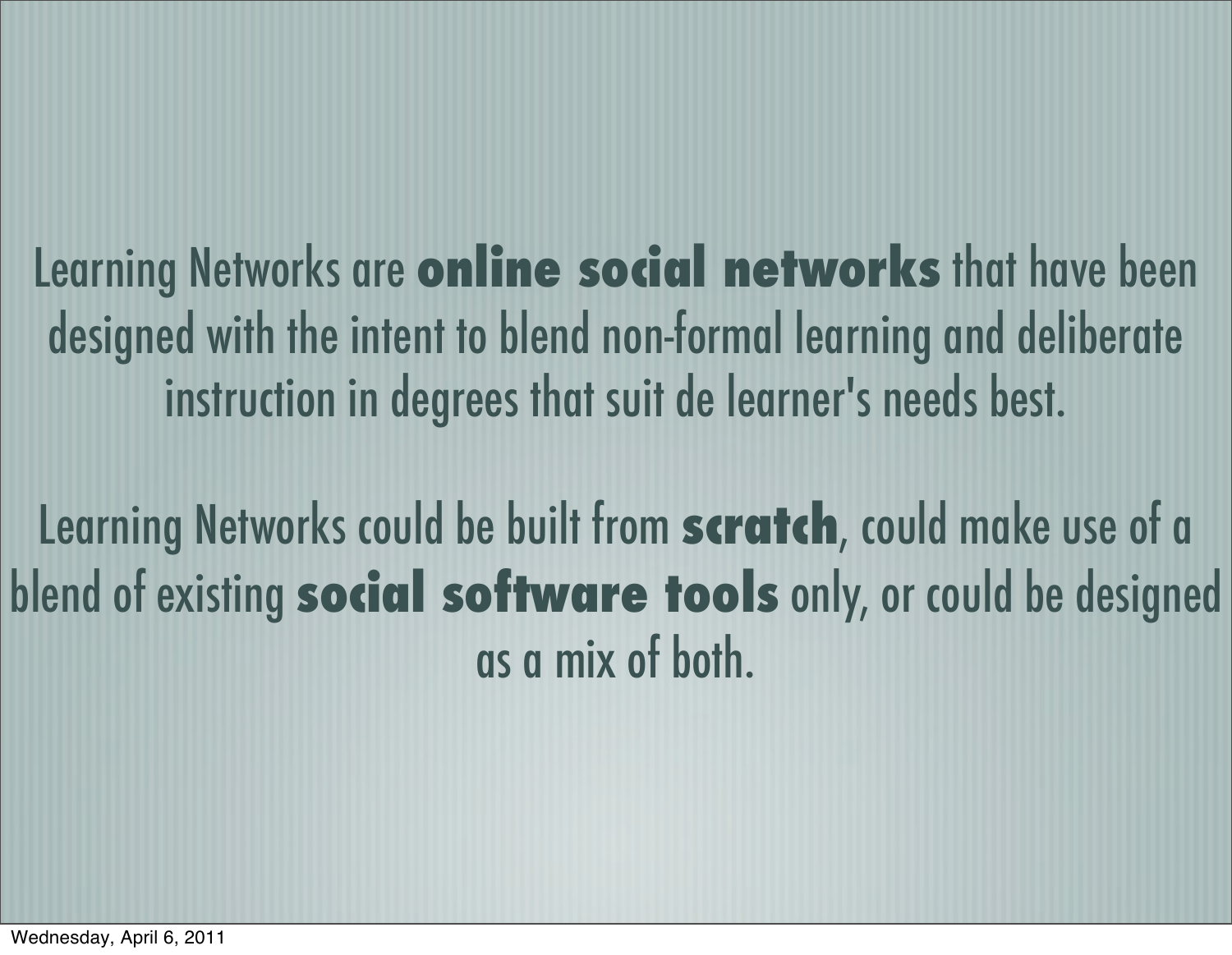Learning Networks are **online social networks** that have been designed with the intent to blend non-formal learning and deliberate instruction in degrees that suit de learner's needs best.

Learning Networks could be built from **scratch**, could make use of a blend of existing **social software tools** only, or could be designed as a mix of both.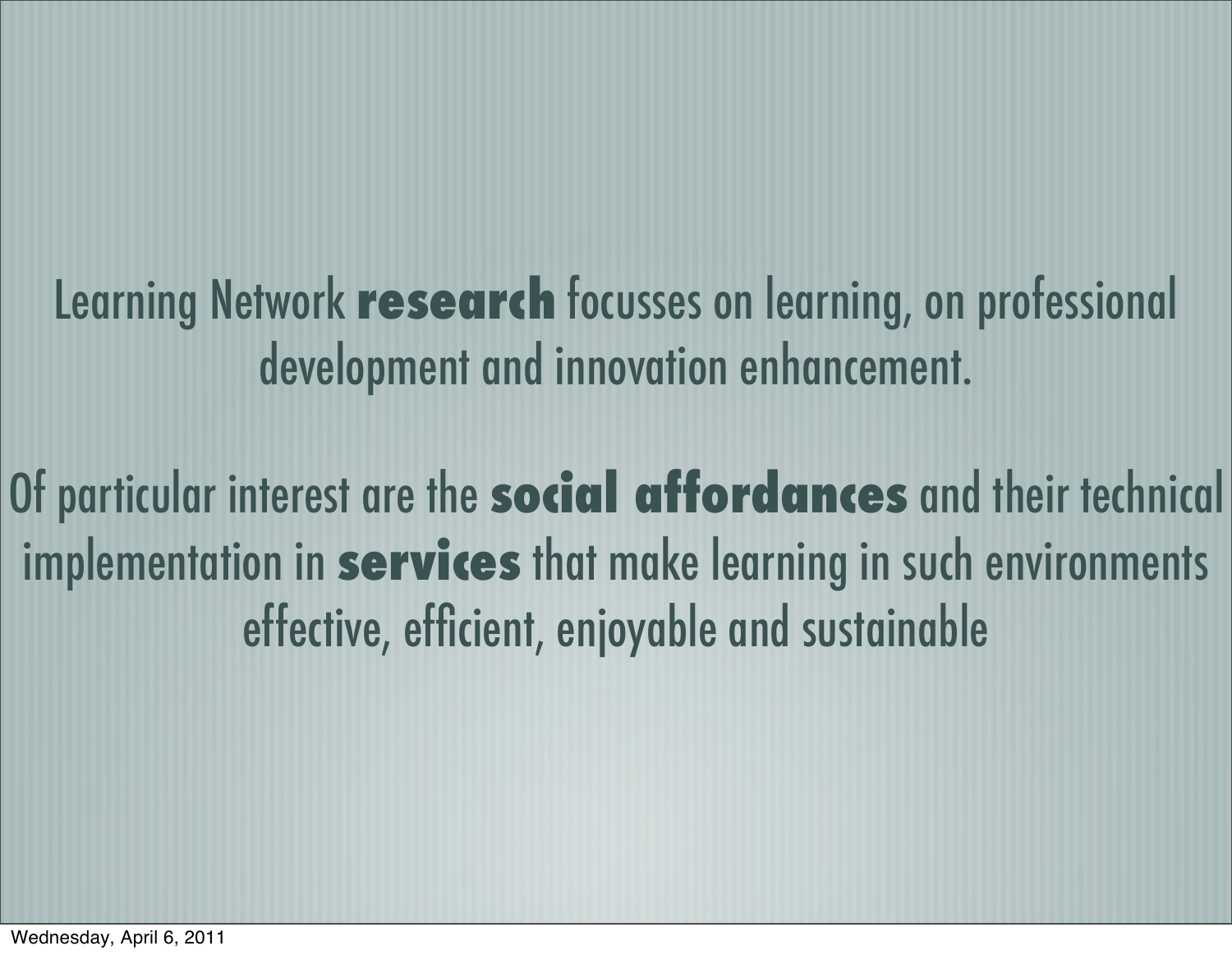Learning Network **research** focusses on learning, on professional development and innovation enhancement.

Of particular interest are the **social affordances** and their technical implementation in **services** that make learning in such environments effective, efficient, enjoyable and sustainable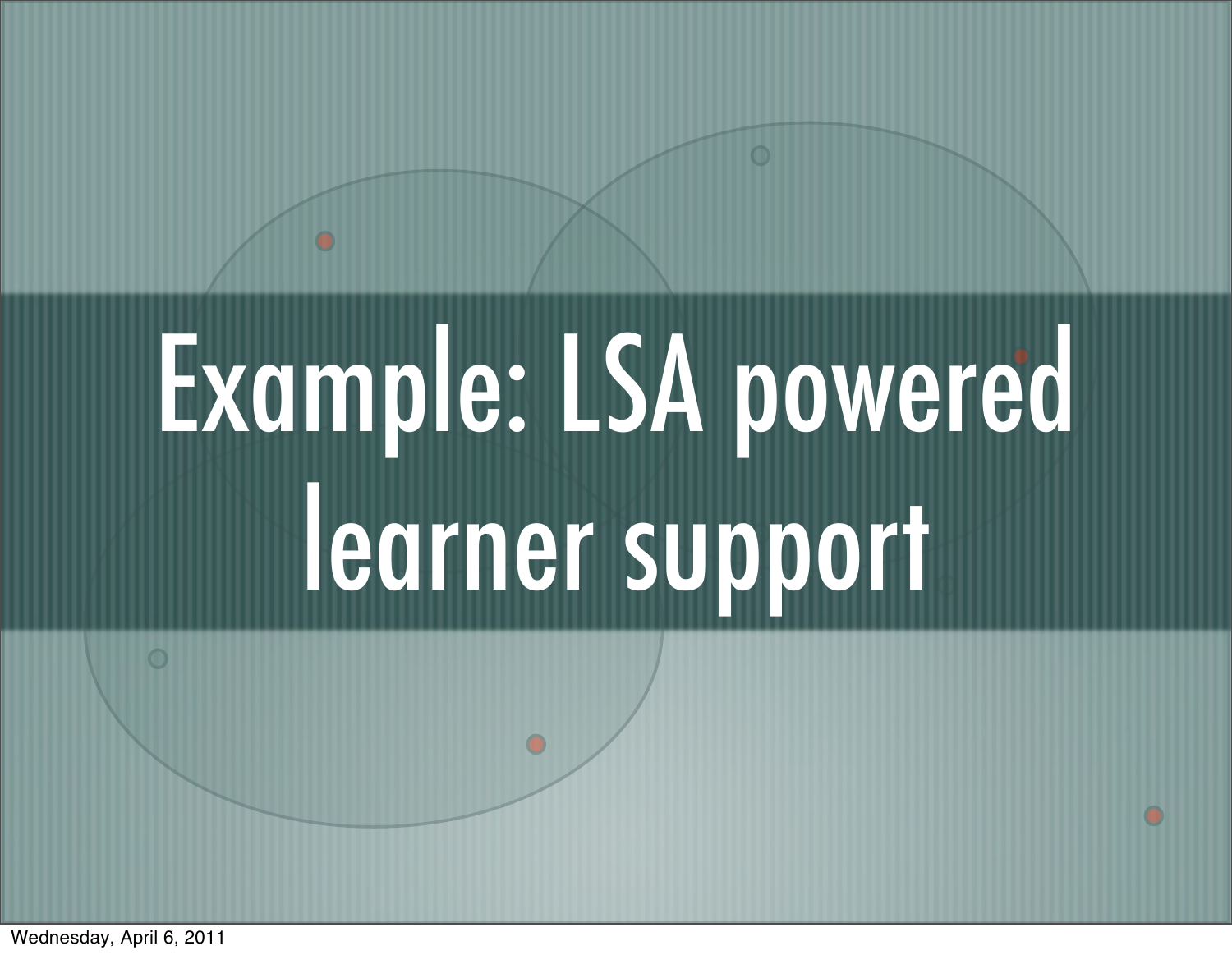# Example: LSA powered learner support

Wednesday, April 6, 2011

 $\bigcirc$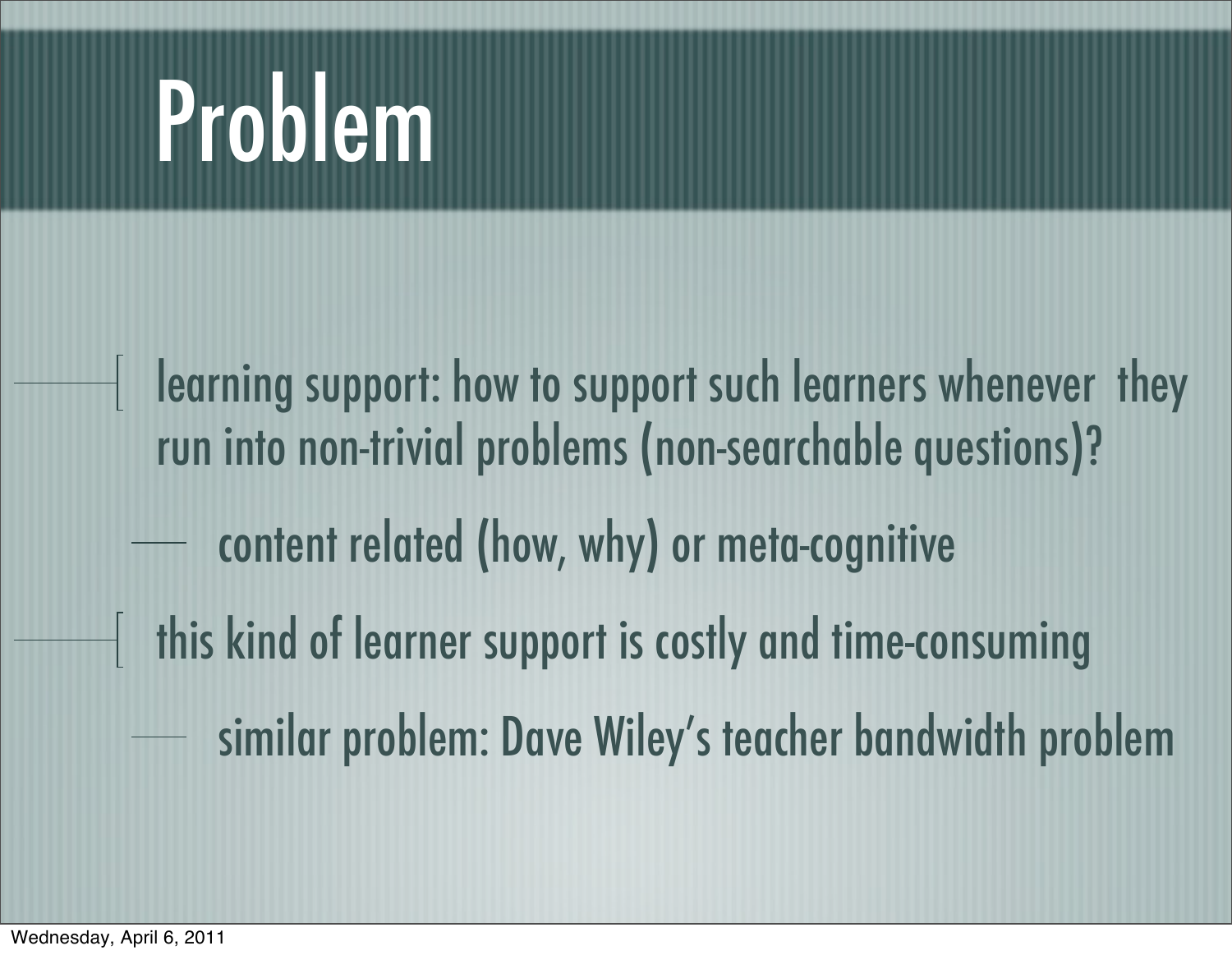### Problem

learning support: how to support such learners whenever they run into non-trivial problems (non-searchable questions)? content related (how, why) or meta-cognitive this kind of learner support is costly and time-consuming similar problem: Dave Wiley's teacher bandwidth problem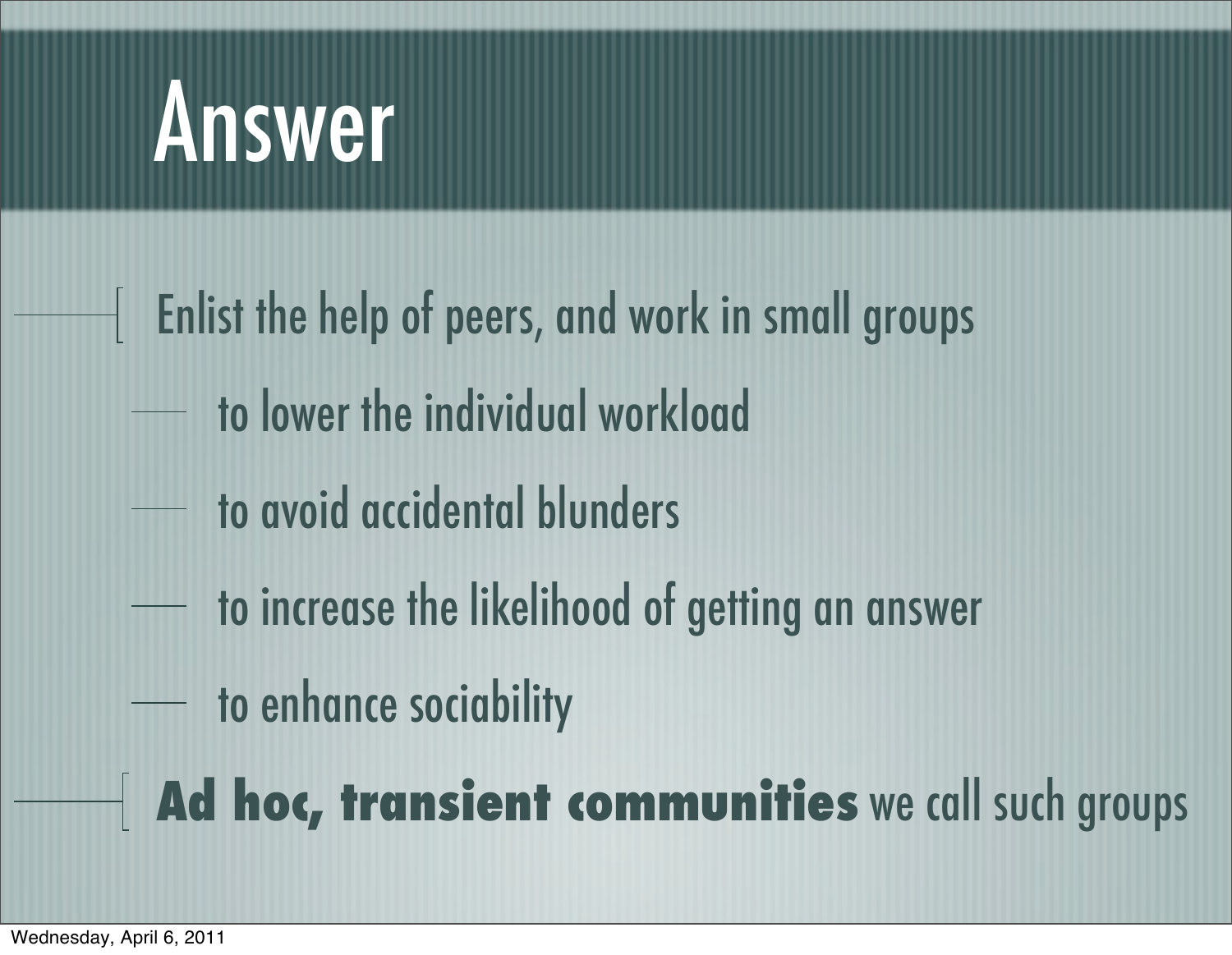### Answer

- Enlist the help of peers, and work in small groups  $\overline{\phantom{a}}$ 
	- to lower the individual workload
	- to avoid accidental blunders
	- to increase the likelihood of getting an answer
		- to enhance sociability

**Ad hoc, transient communities** we call such groups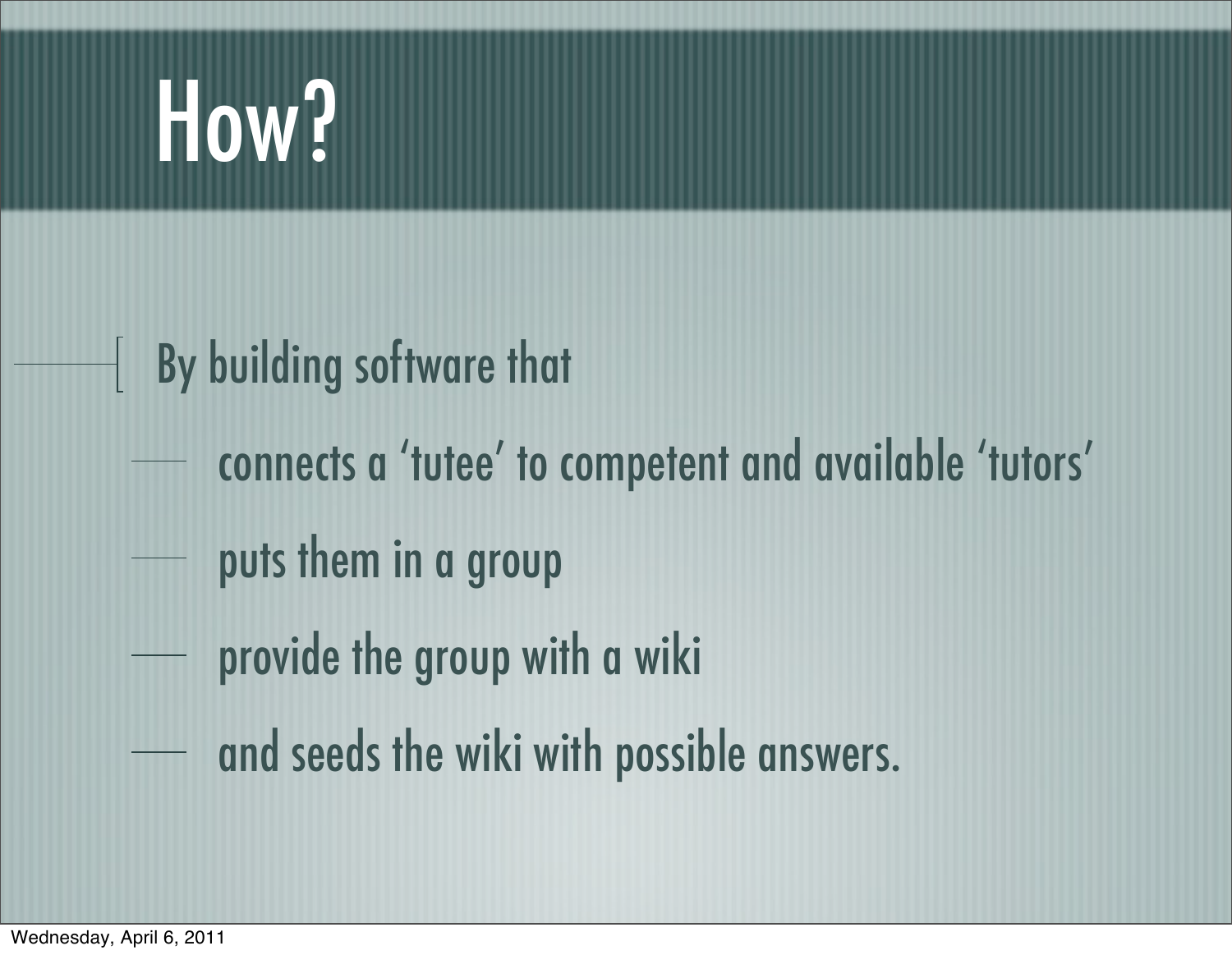### How?

### By building software that ╢

- connects a 'tutee' to competent and available 'tutors'
- puts them in a group
- provide the group with a wiki
- and seeds the wiki with possible answers.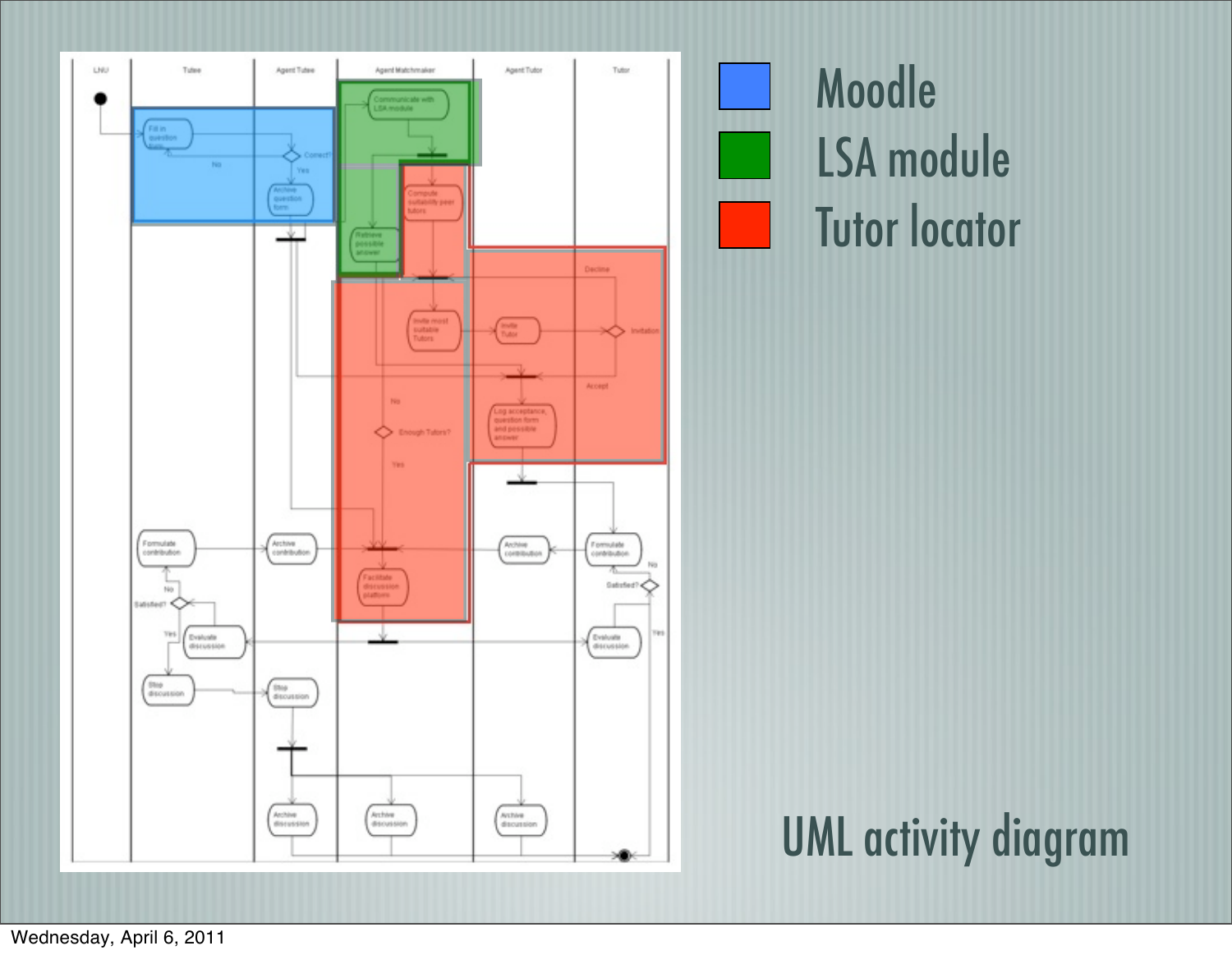

Moodle LSA module Tutor locator

UML activity diagram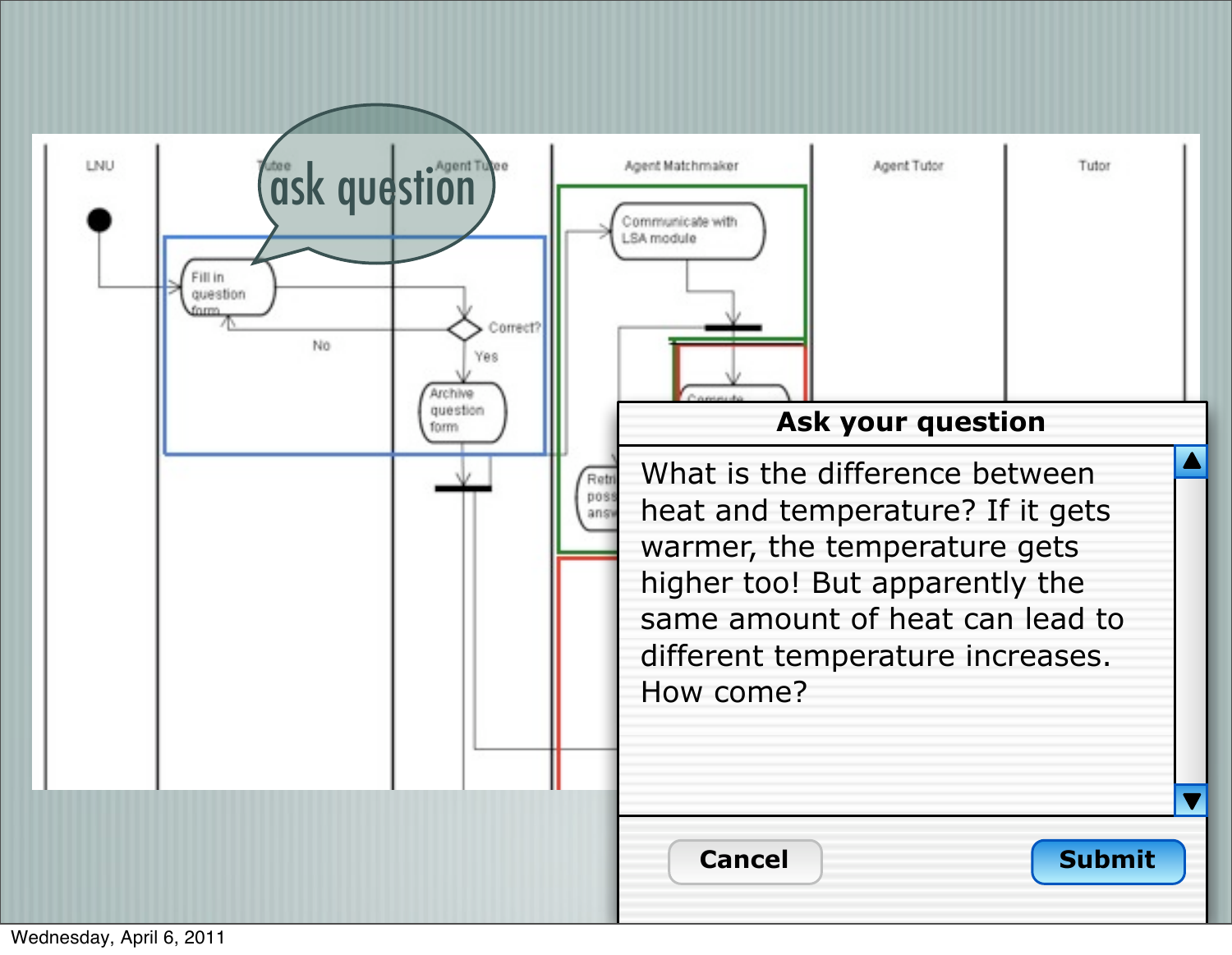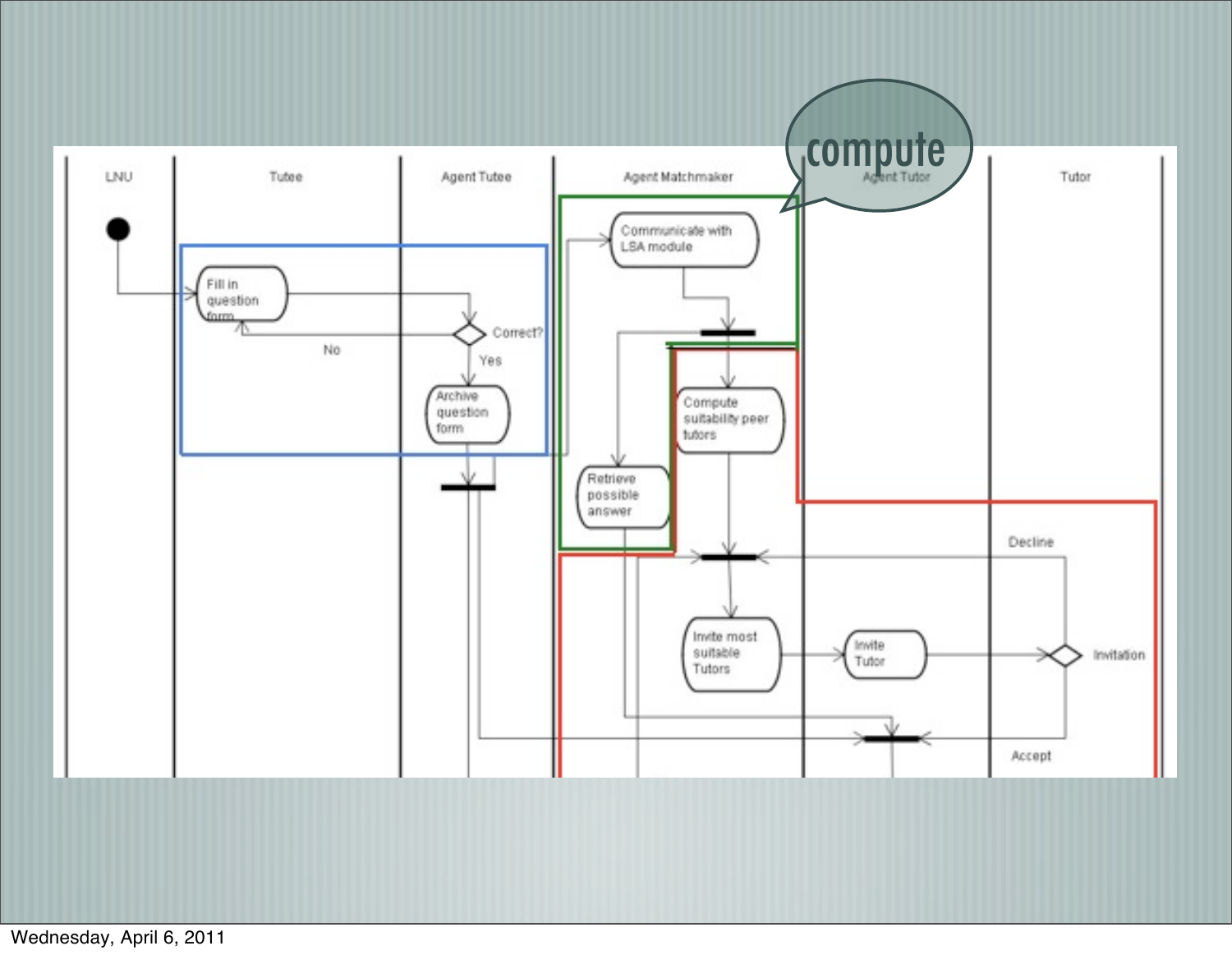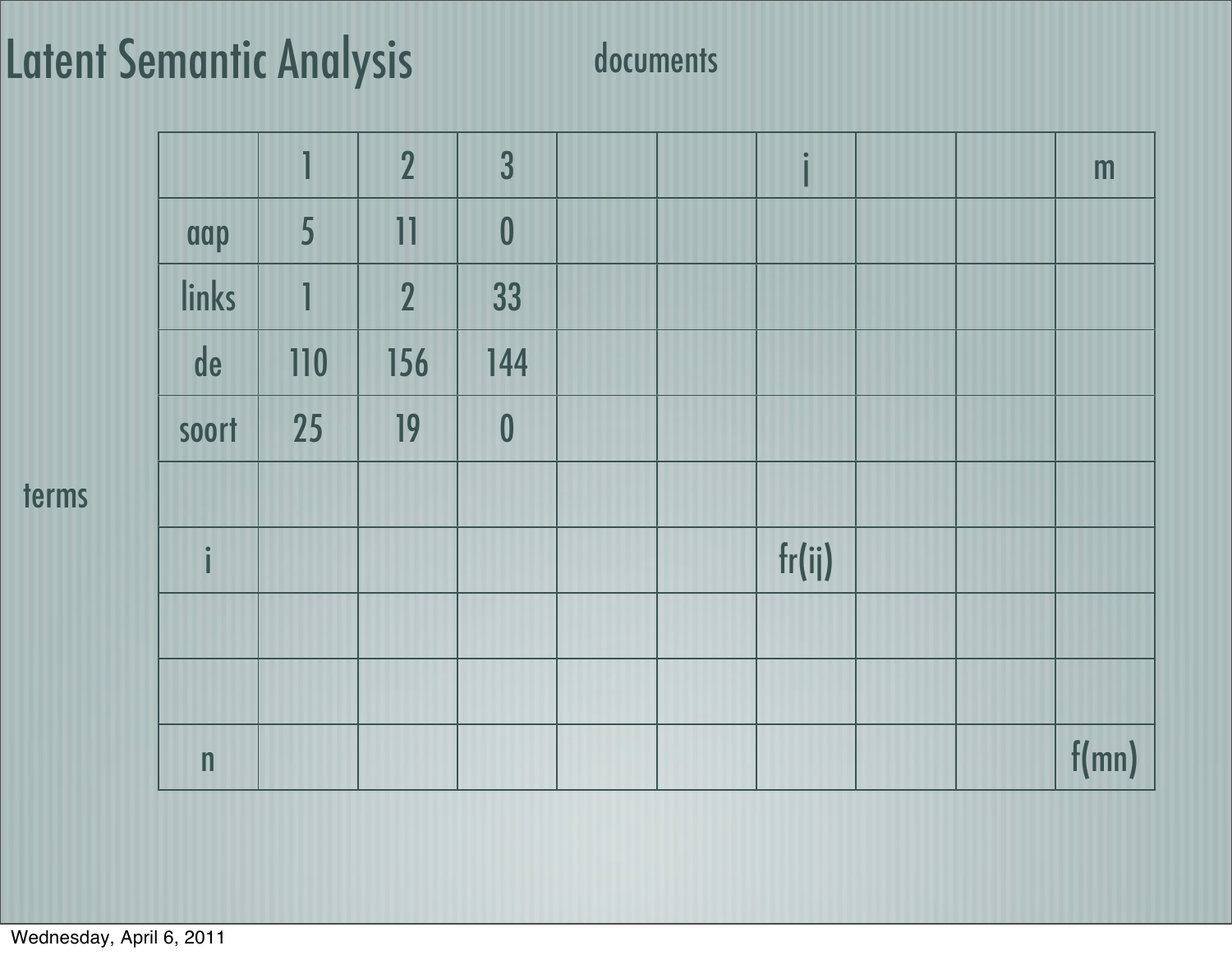### Latent Semantic Analysis documents

|              | 1   | $\overline{2}$ | 3                |  | $\bullet$ |  | m     |
|--------------|-----|----------------|------------------|--|-----------|--|-------|
| aap          | 5   | 11             | $\boldsymbol{0}$ |  |           |  |       |
| links        | 1   | $\overline{2}$ | 33               |  |           |  |       |
| de           | 110 | 156            | 144              |  |           |  |       |
| soort        | 25  | 19             | $\boldsymbol{0}$ |  |           |  |       |
|              |     |                |                  |  |           |  |       |
| $\mathbf{i}$ |     |                |                  |  | fr(ij)    |  |       |
|              |     |                |                  |  |           |  |       |
|              |     |                |                  |  |           |  |       |
| $\mathsf{n}$ |     |                |                  |  |           |  | f(mn) |

terms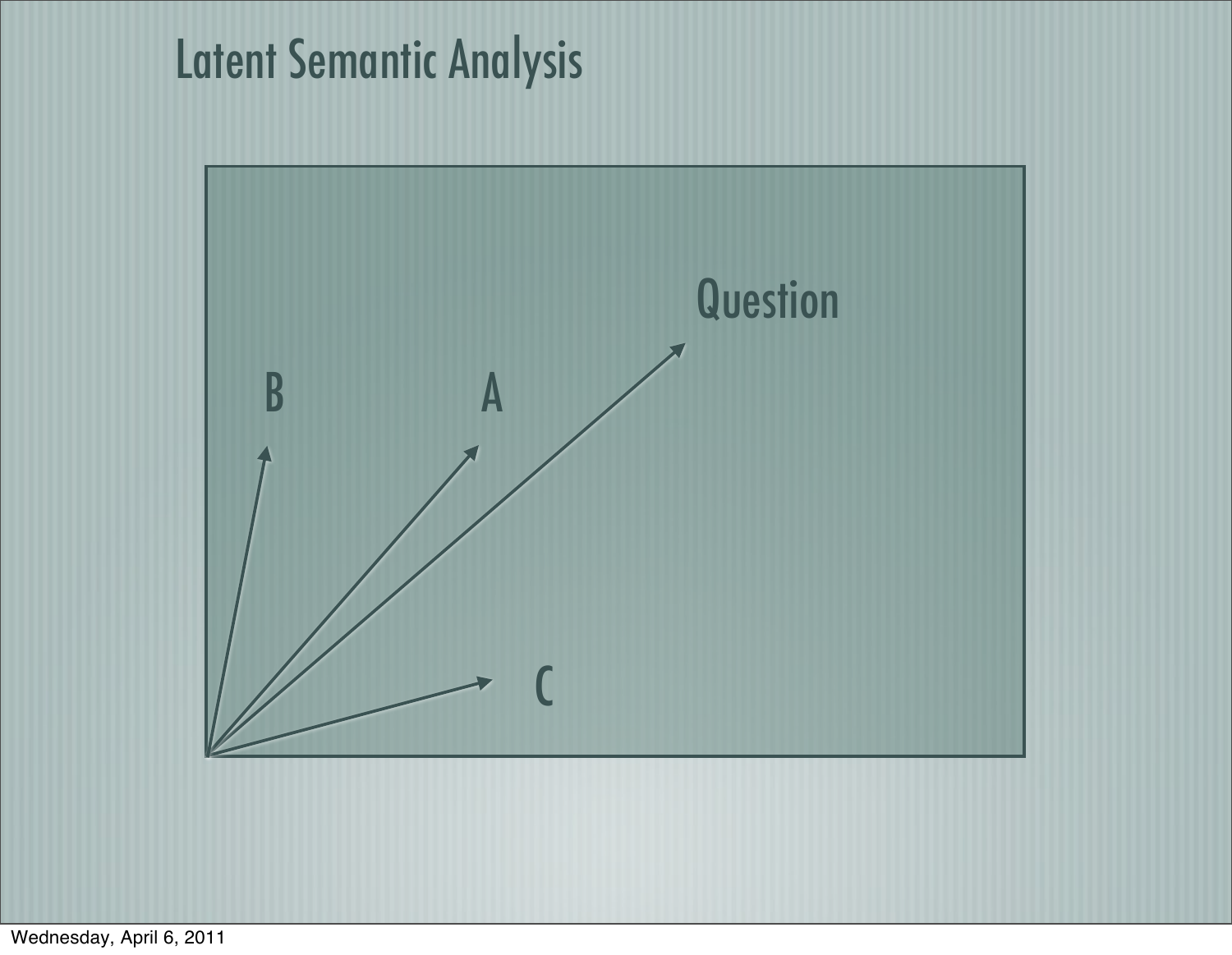### Latent Semantic Analysis

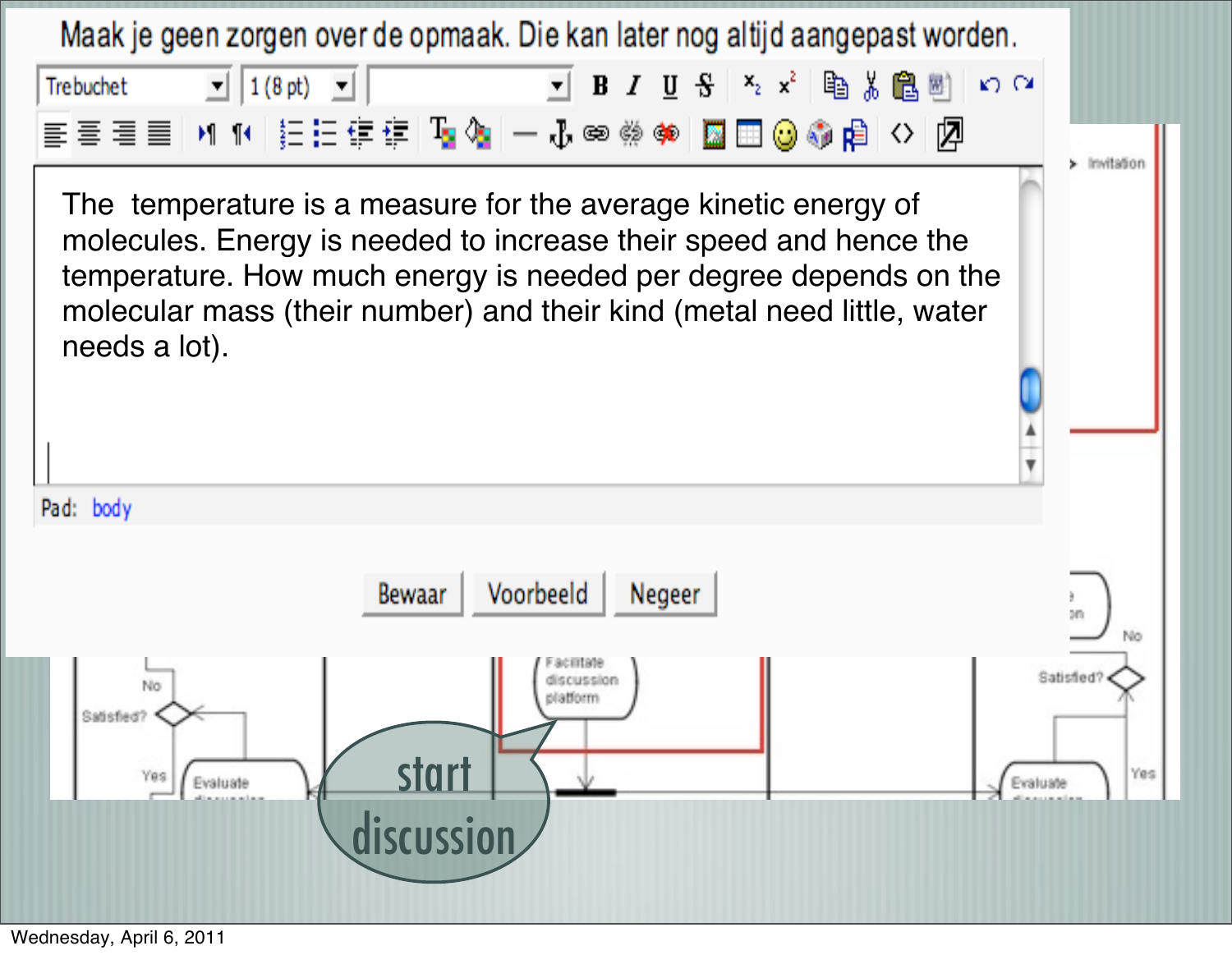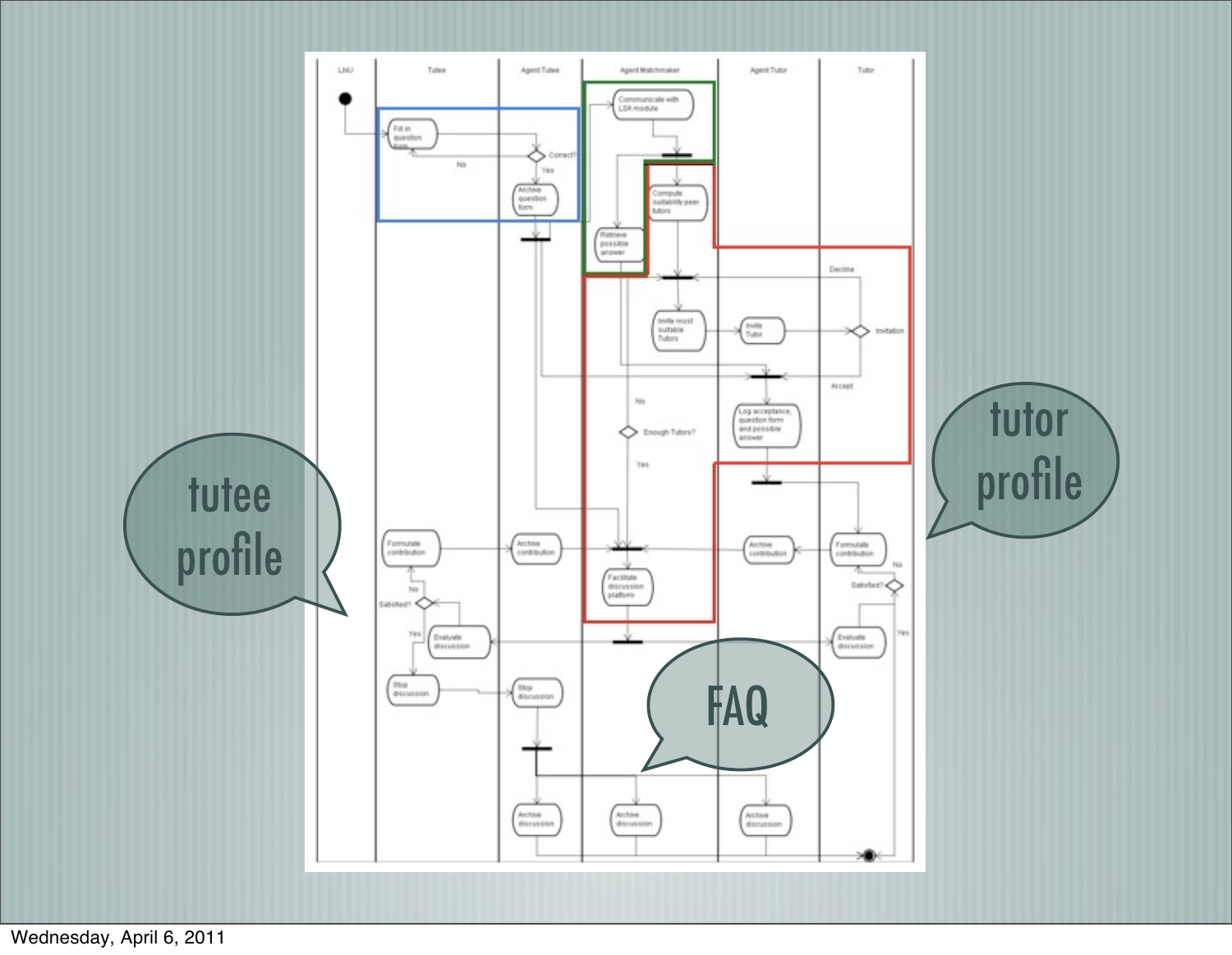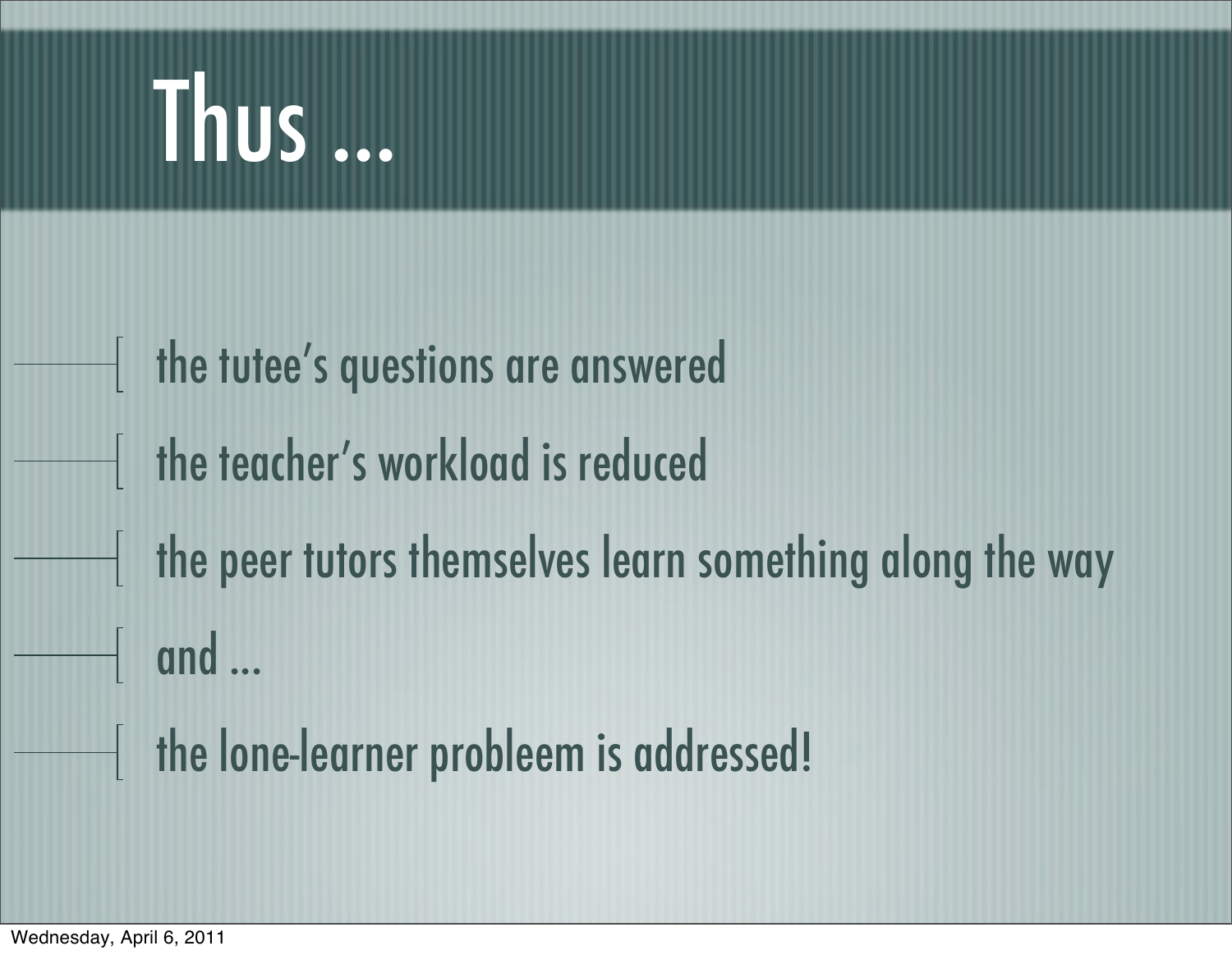### Thus ...

the tutee's questions are answered the teacher's workload is reduced the peer tutors themselves learn something along the way  $\parallel$  and  $\ldots$ the lone-learner probleem is addressed!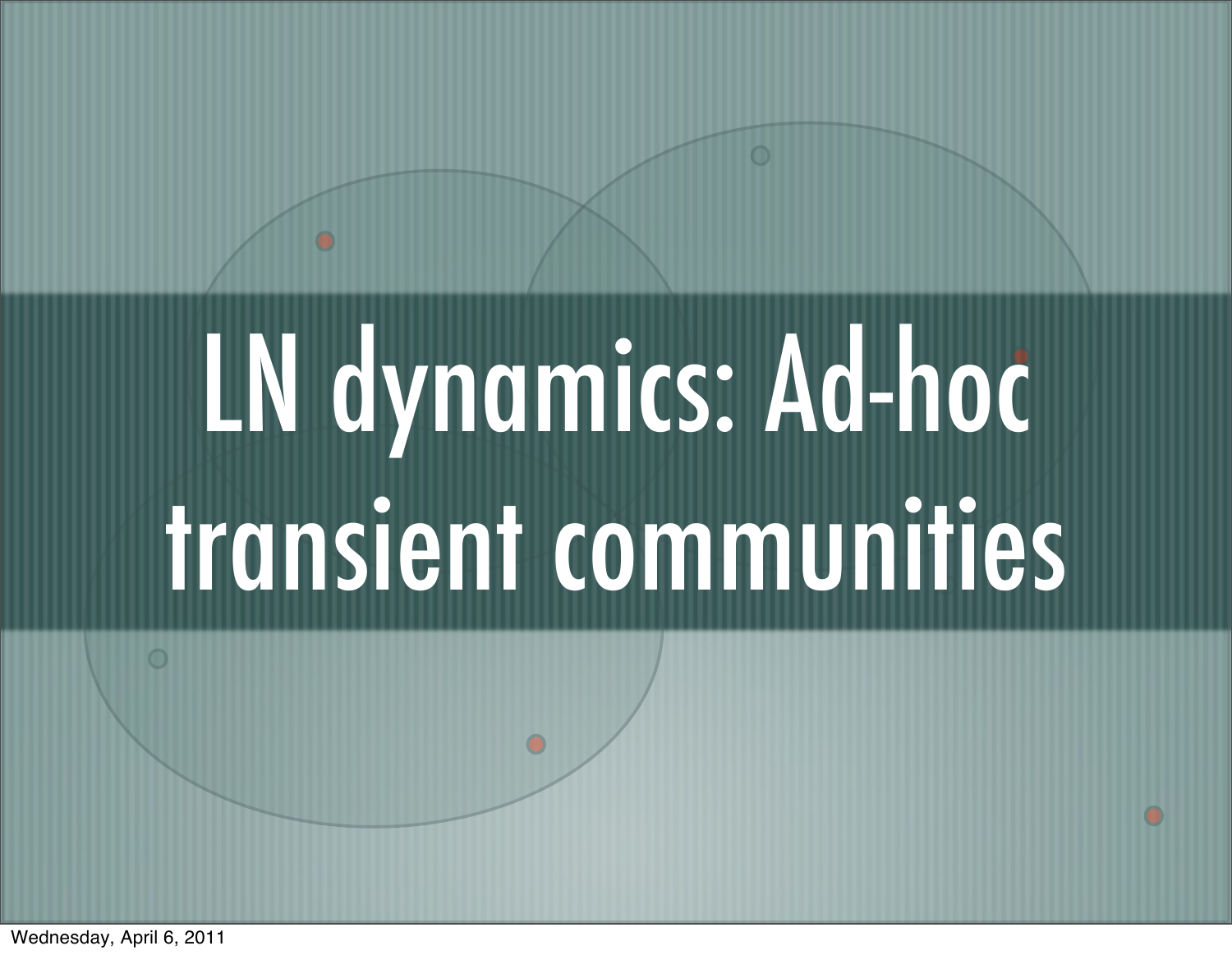# LN dynamics: Ad-hoc transient communities

Wednesday, April 6, 2011

 $\bigcirc$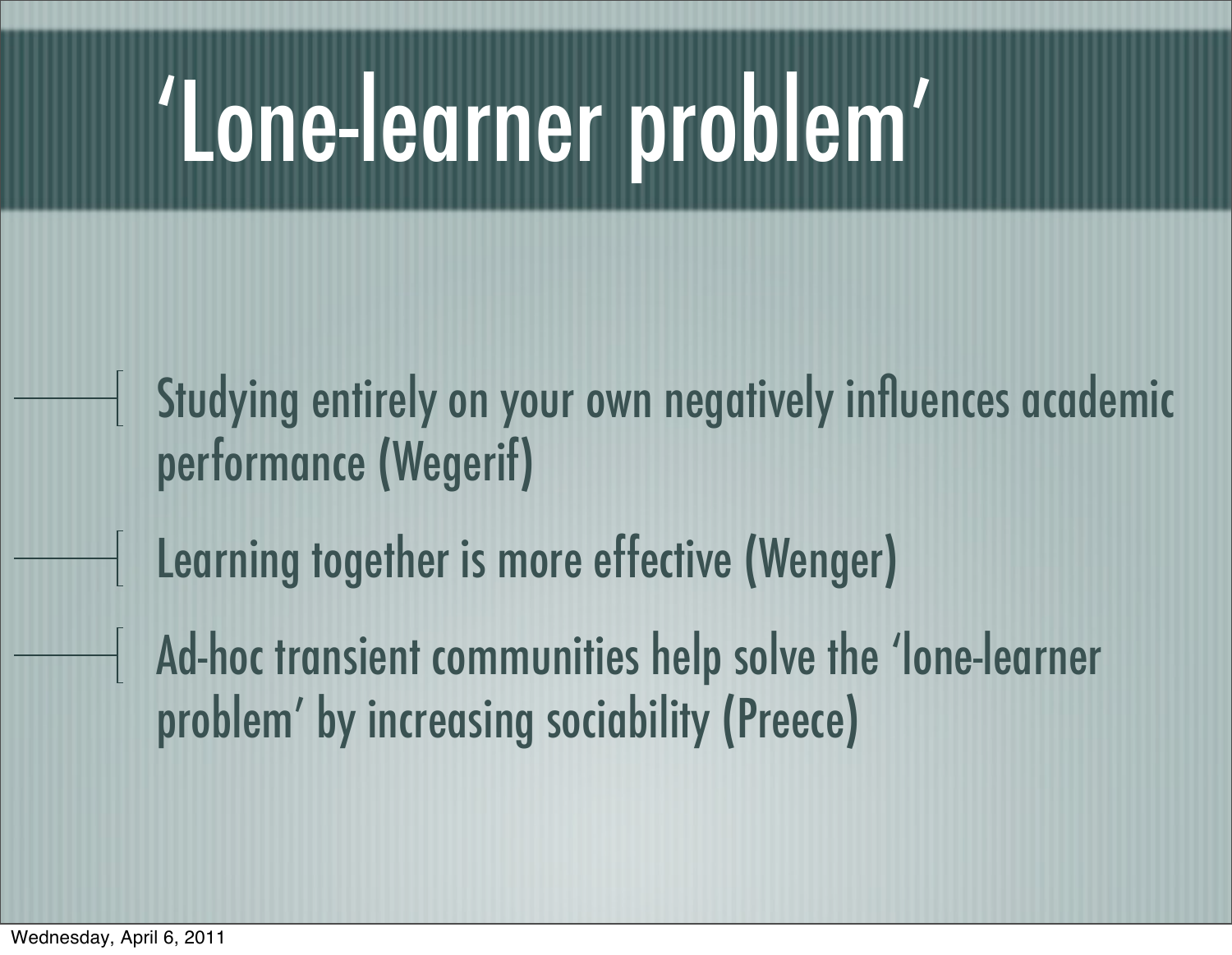### 'Lone-learner problem'

- Studying entirely on your own negatively influences academic performance (Wegerif)
	- Learning together is more effective (Wenger)
- Ad-hoc transient communities help solve the 'lone-learner problem' by increasing sociability (Preece)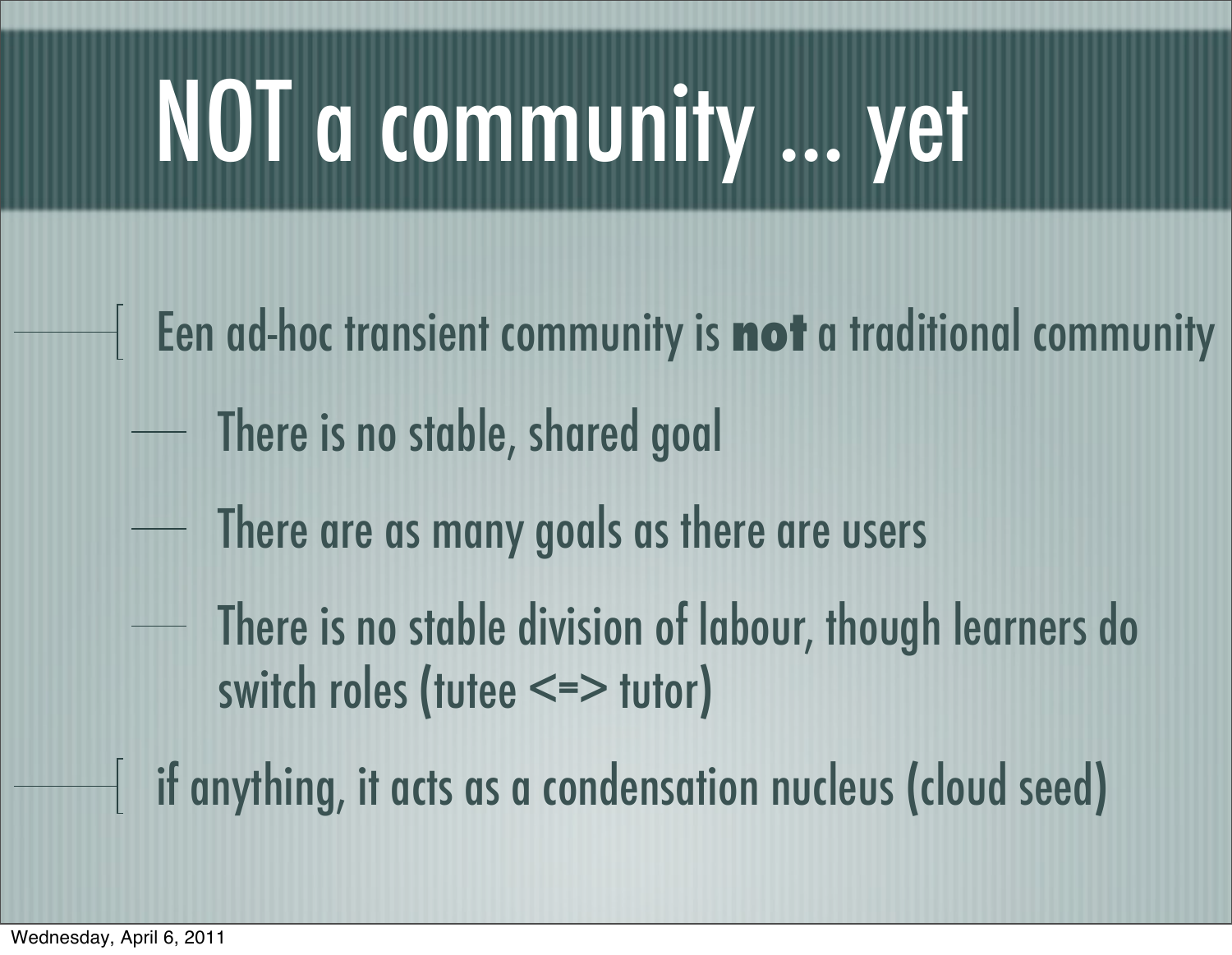### NOT a community ... yet

- Een ad-hoc transient community is **not** a traditional community
	- There is no stable, shared goal
	- There are as many goals as there are users
	- There is no stable division of labour, though learners do switch roles (tutee <=> tutor)
- if anything, it acts as a condensation nucleus (cloud seed)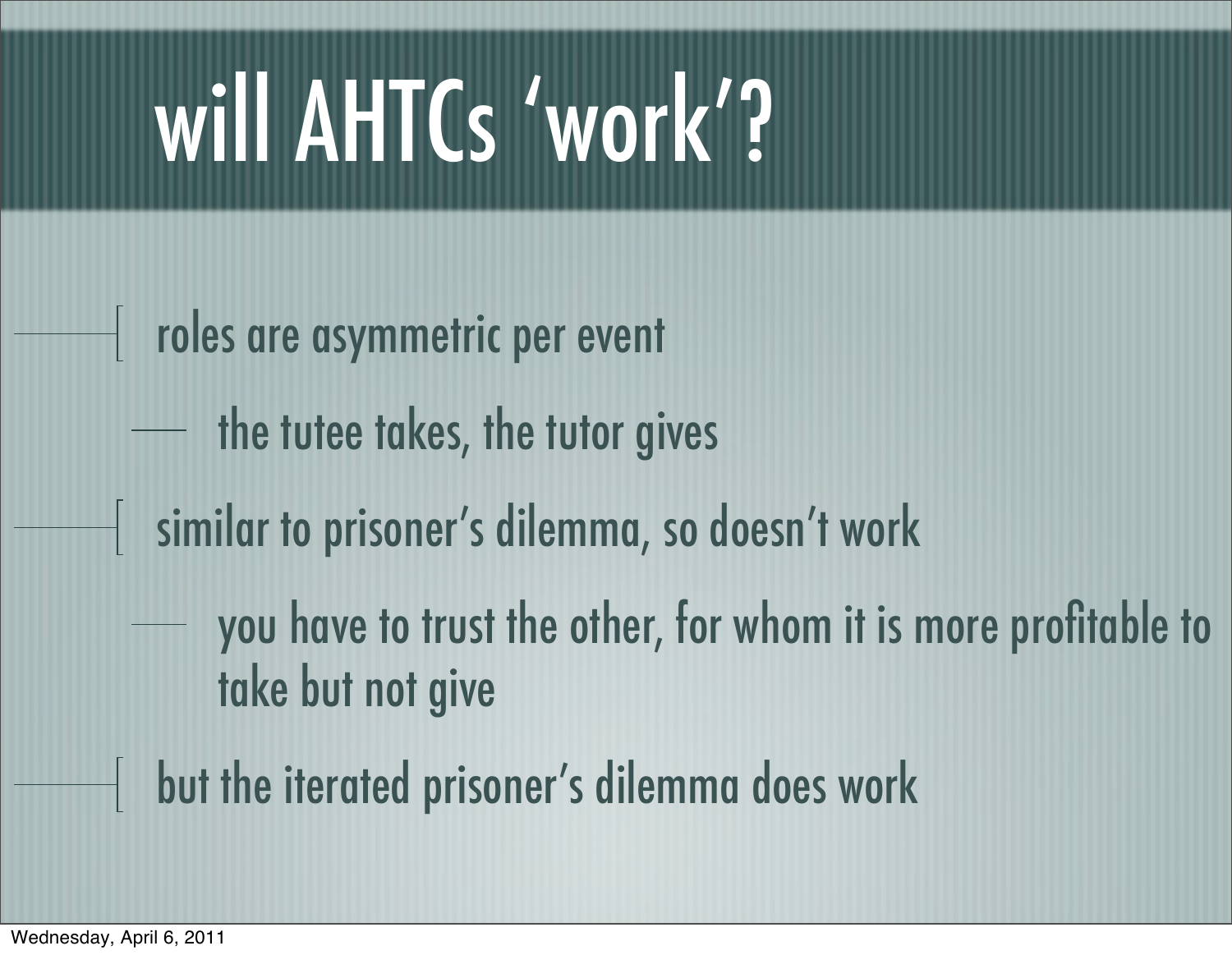### will AHTCs 'work'?

- roles are asymmetric per event
	- the tutee takes, the tutor gives
- similar to prisoner's dilemma, so doesn't work
	- you have to trust the other, for whom it is more profitable to take but not give
- but the iterated prisoner's dilemma does work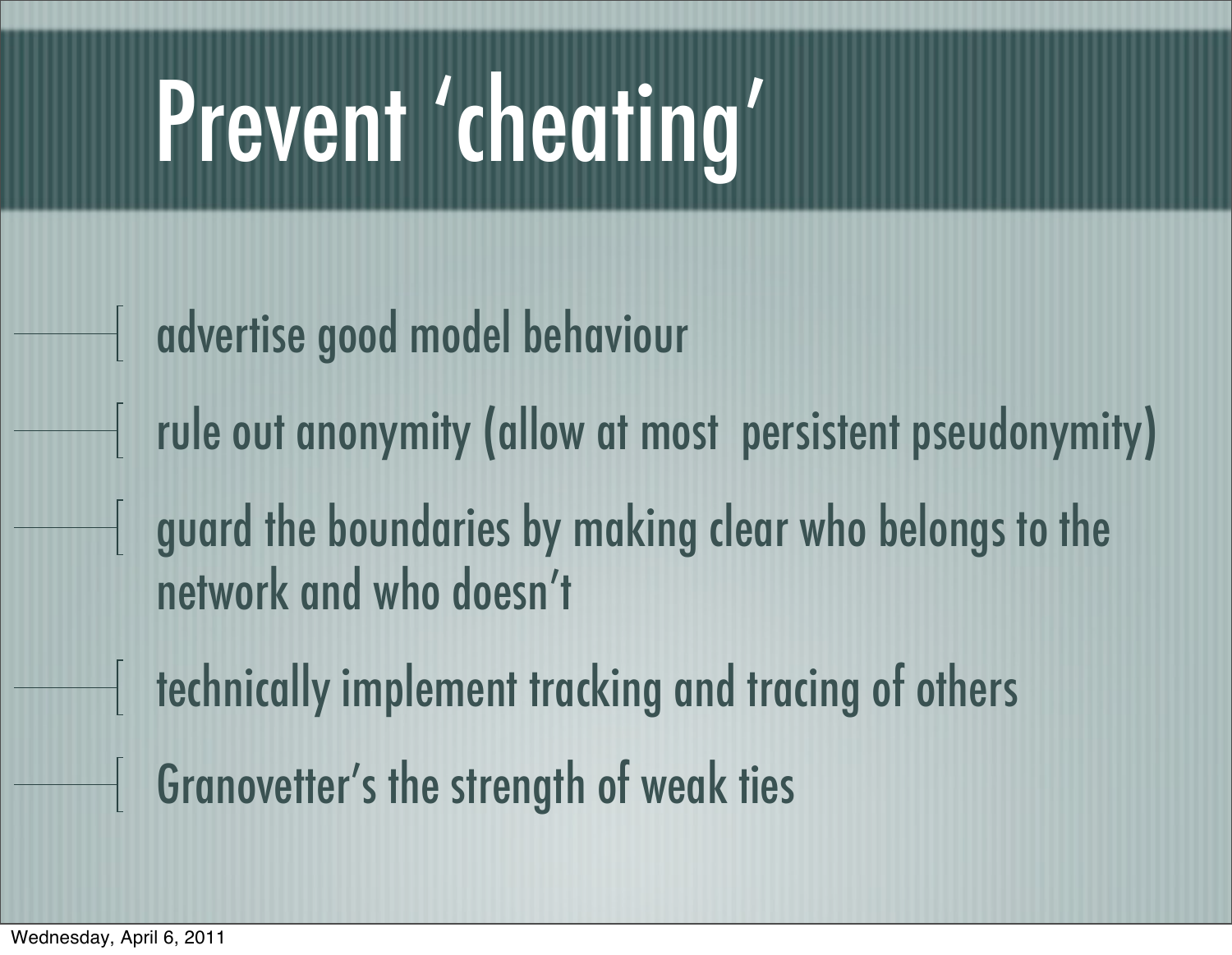### Prevent 'cheating'

- advertise good model behaviour
- rule out anonymity (allow at most persistent pseudonymity)
- guard the boundaries by making clear who belongs to the network and who doesn't
- $\frac{1}{1}$  technically implement tracking and tracing of others
- Granovetter's the strength of weak ties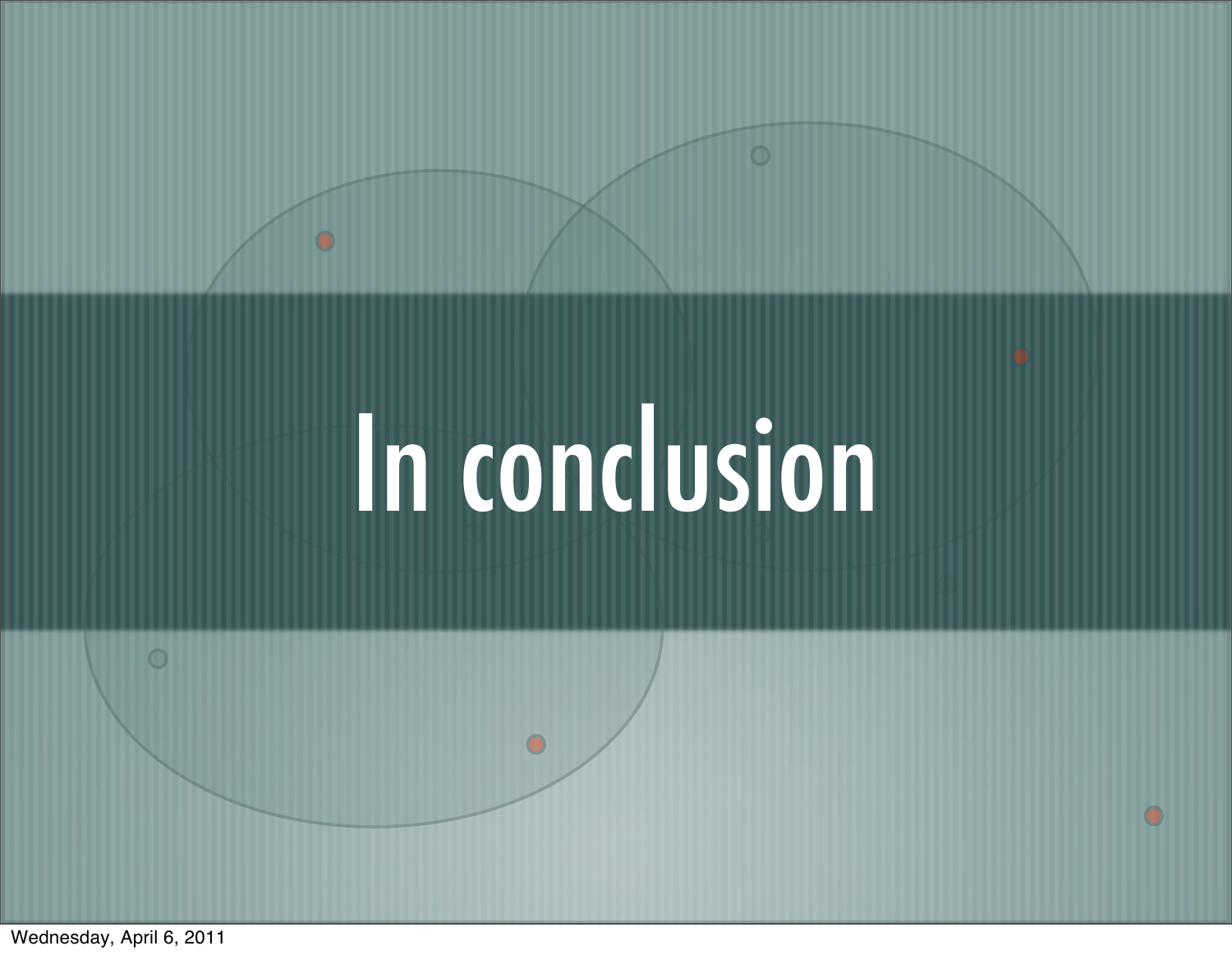## In conclusion

 $\bullet$ 

 $\bullet$ 

 $\circ$ 

 $\overline{\mathbf{O}}$ 

Wednesday, April 6, 2011

 $\circ$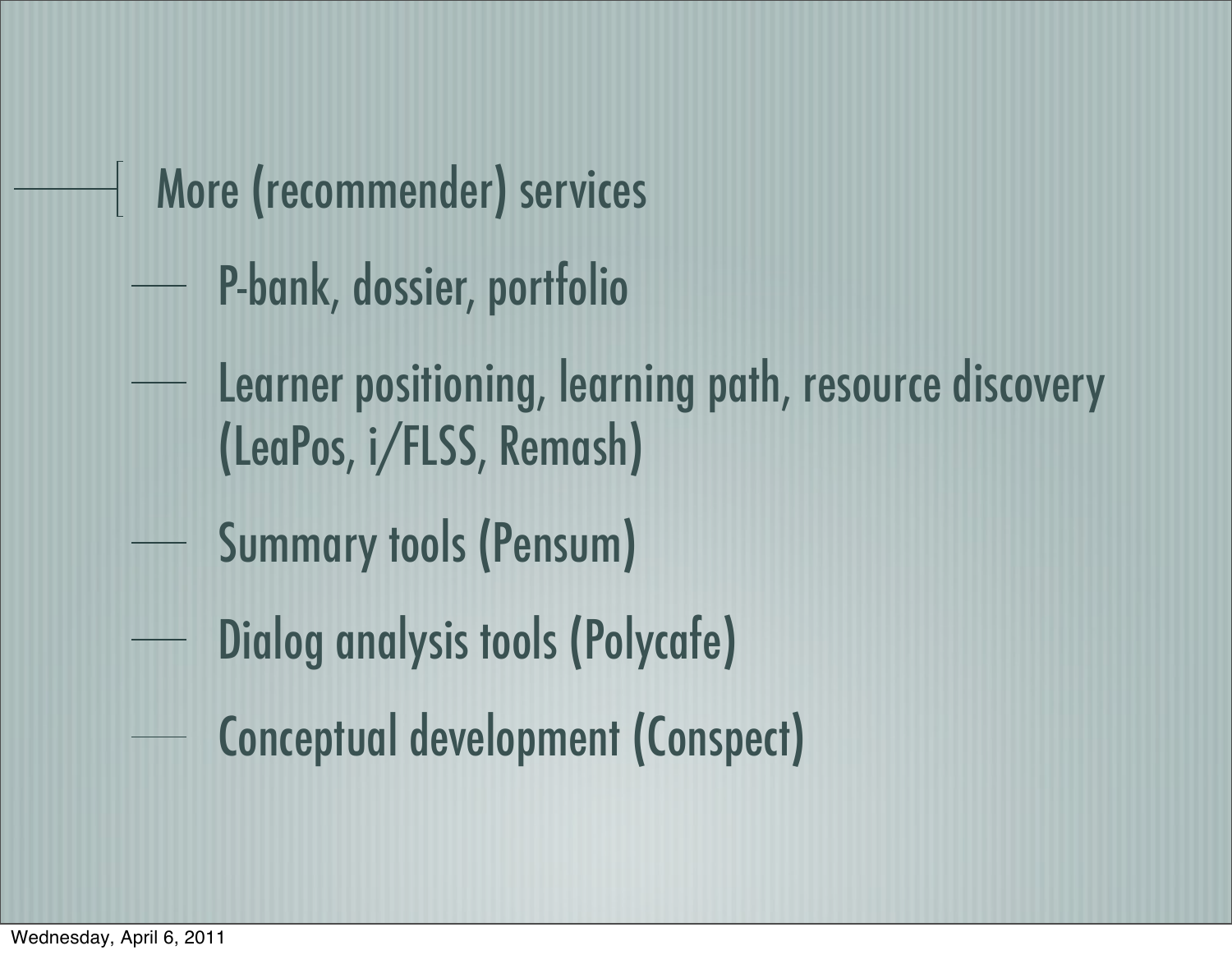More (recommender) services

P-bank, dossier, portfolio

- Learner positioning, learning path, resource discovery (LeaPos, i/FLSS, Remash)
- Summary tools (Pensum)
- Dialog analysis tools (Polycafe)
- Conceptual development (Conspect)